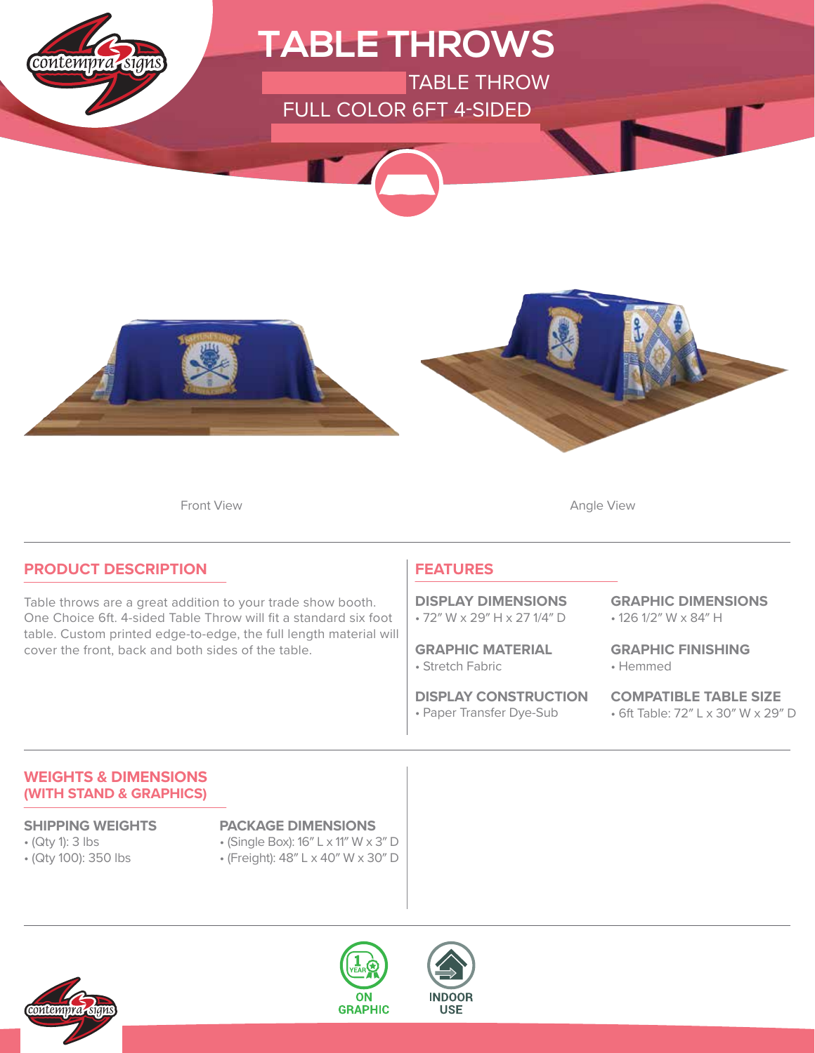

Front View **Angle View Angle View** 

### **PRODUCT DESCRIPTION**

Table throws are a great addition to your trade show booth. One Choice 6ft. 4-sided Table Throw will fit a standard six foot table. Custom printed edge-to-edge, the full length material will cover the front, back and both sides of the table.

### **FEATURES**

• 72″ W x 29″ H x 27 1/4″ D **DISPLAY DIMENSIONS**

• Stretch Fabric **GRAPHIC MATERIAL**

• Paper Transfer Dye-Sub **DISPLAY CONSTRUCTION** • 126 1/2″ W x 84″ H **GRAPHIC DIMENSIONS**

• Hemmed **GRAPHIC FINISHING**

• 6ft Table: 72″ L x 30″ W x 29″ D **COMPATIBLE TABLE SIZE**

### **WEIGHTS & DIMENSIONS (WITH STAND & GRAPHICS)**

- (Qty 1): 3 lbs
- (Qty 100): 350 lbs

### **SHIPPING WEIGHTS PACKAGE DIMENSIONS**

- (Single Box): 16″ L x 11″ W x 3″ D
- (Freight): 48″ L x 40″ W x 30″ D